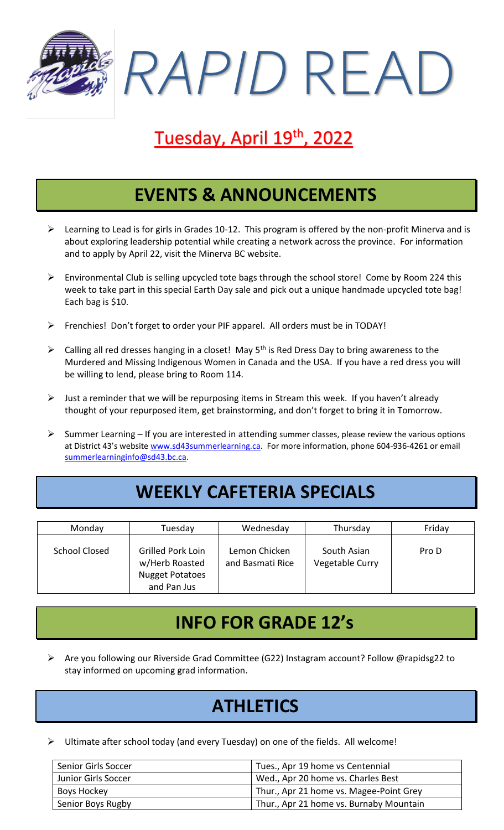*RAPID* READ

# Tuesday, April 19<sup>th</sup>, 2022

### **EVENTS & ANNOUNCEMENTS**

- $\triangleright$  Learning to Lead is for girls in Grades 10-12. This program is offered by the non-profit Minerva and is about exploring leadership potential while creating a network across the province. For information and to apply by April 22, visit the Minerva BC website.
- ➢ Environmental Club is selling upcycled tote bags through the school store! Come by Room 224 this week to take part in this special Earth Day sale and pick out a unique handmade upcycled tote bag! Each bag is \$10.
- ➢ Frenchies! Don't forget to order your PIF apparel. All orders must be in TODAY!
- $\triangleright$  Calling all red dresses hanging in a closet! May 5<sup>th</sup> is Red Dress Day to bring awareness to the Murdered and Missing Indigenous Women in Canada and the USA. If you have a red dress you will be willing to lend, please bring to Room 114.
- $\triangleright$  Just a reminder that we will be repurposing items in Stream this week. If you haven't already thought of your repurposed item, get brainstorming, and don't forget to bring it in Tomorrow.
- $\triangleright$  Summer Learning If you are interested in attending summer classes, please review the various options at District 43's website [www.sd43summerlearning.ca.](http://www.sd43summerlearning.ca/) For more information, phone 604-936-4261 or email [summerlearninginfo@sd43.bc.ca.](mailto:summerlearninginfo@sd43.bc.ca)

#### **WEEKLY CAFETERIA SPECIALS**

| Monday               | Tuesday                                                                      | Wednesday                         | Thursday                       | Friday |
|----------------------|------------------------------------------------------------------------------|-----------------------------------|--------------------------------|--------|
| <b>School Closed</b> | Grilled Pork Loin<br>w/Herb Roasted<br><b>Nugget Potatoes</b><br>and Pan Jus | Lemon Chicken<br>and Basmati Rice | South Asian<br>Vegetable Curry | Pro D  |

#### **INFO FOR GRADE 12's**

➢ Are you following our Riverside Grad Committee (G22) Instagram account? Follow @rapidsg22 to stay informed on upcoming grad information.

## **ATHLETICS**

 $\triangleright$  Ultimate after school today (and every Tuesday) on one of the fields. All welcome!

| Senior Girls Soccer | Tues., Apr 19 home vs Centennial        |
|---------------------|-----------------------------------------|
| Junior Girls Soccer | Wed., Apr 20 home vs. Charles Best      |
| Boys Hockey         | Thur., Apr 21 home vs. Magee-Point Grey |
| Senior Boys Rugby   | Thur., Apr 21 home vs. Burnaby Mountain |